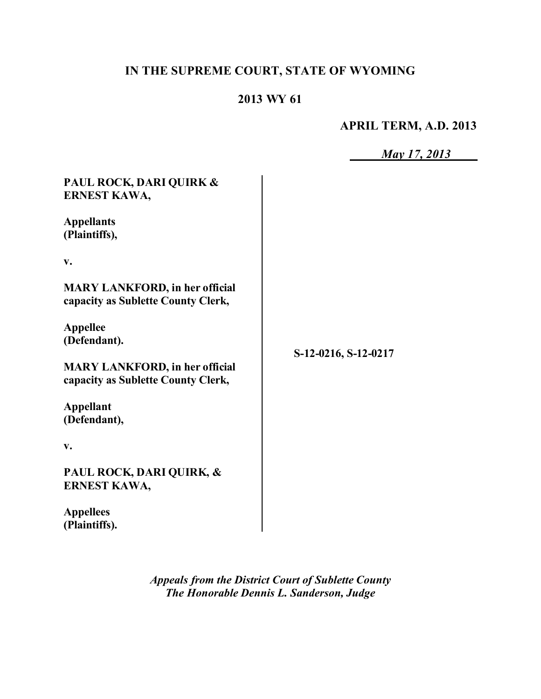# **IN THE SUPREME COURT, STATE OF WYOMING**

## **2013 WY 61**

### **APRIL TERM, A.D. 2013**

| ∕ ∎<br>$\overline{\phantom{a}}$ | $\sim$ $\blacktriangleright$ |  |
|---------------------------------|------------------------------|--|
|                                 |                              |  |

| PAUL ROCK, DARI QUIRK &<br>ERNEST KAWA,                                     |                      |
|-----------------------------------------------------------------------------|----------------------|
| <b>Appellants</b><br>(Plaintiffs),                                          |                      |
| $V_{\bullet}$                                                               |                      |
| <b>MARY LANKFORD, in her official</b><br>capacity as Sublette County Clerk, |                      |
| <b>Appellee</b><br>(Defendant).                                             | S-12-0216, S-12-0217 |
| <b>MARY LANKFORD, in her official</b><br>capacity as Sublette County Clerk, |                      |
| <b>Appellant</b><br>(Defendant),                                            |                      |
| $V_{\bullet}$                                                               |                      |
| PAUL ROCK, DARI QUIRK, &<br>ERNEST KAWA,                                    |                      |
| <b>Appellees</b><br>(Plaintiffs).                                           |                      |

*Appeals from the District Court of Sublette County The Honorable Dennis L. Sanderson, Judge*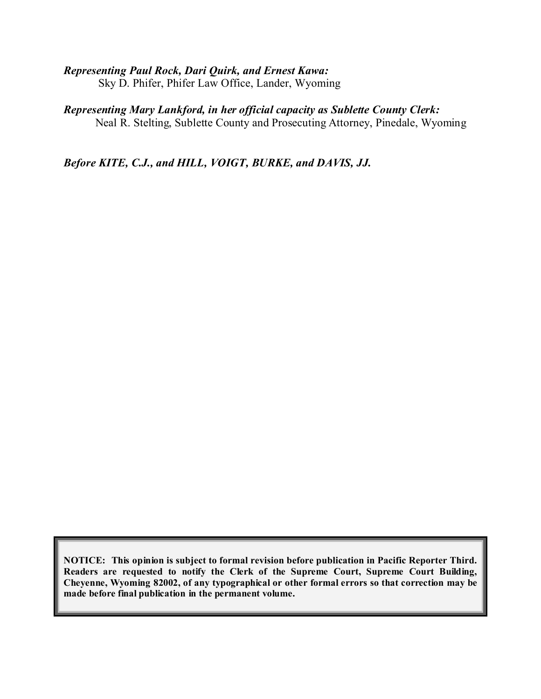#### *Representing Paul Rock, Dari Quirk, and Ernest Kawa:*

Sky D. Phifer, Phifer Law Office, Lander, Wyoming

## *Representing Mary Lankford, in her official capacity as Sublette County Clerk:*

Neal R. Stelting, Sublette County and Prosecuting Attorney, Pinedale, Wyoming

*Before KITE, C.J., and HILL, VOIGT, BURKE, and DAVIS, JJ.*

**NOTICE: This opinion is subject to formal revision before publication in Pacific Reporter Third. Readers are requested to notify the Clerk of the Supreme Court, Supreme Court Building, Cheyenne, Wyoming 82002, of any typographical or other formal errors so that correction may be made before final publication in the permanent volume.**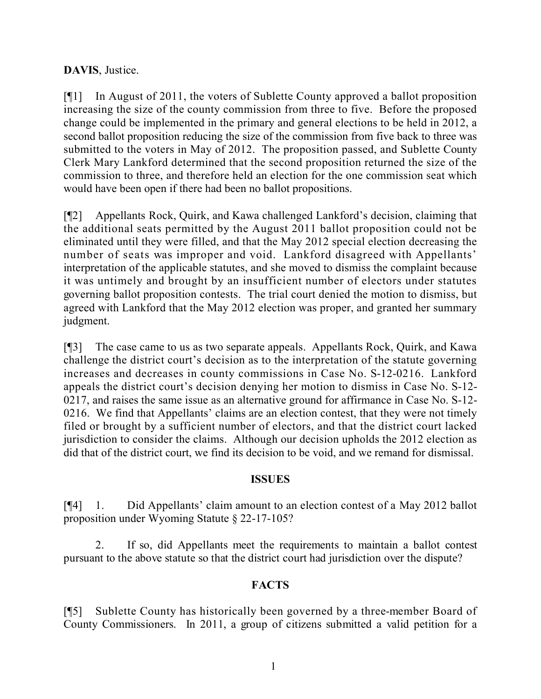### **DAVIS**, Justice.

[¶1] In August of 2011, the voters of Sublette County approved a ballot proposition increasing the size of the county commission from three to five. Before the proposed change could be implemented in the primary and general elections to be held in 2012, a second ballot proposition reducing the size of the commission from five back to three was submitted to the voters in May of 2012. The proposition passed, and Sublette County Clerk Mary Lankford determined that the second proposition returned the size of the commission to three, and therefore held an election for the one commission seat which would have been open if there had been no ballot propositions.

[¶2] Appellants Rock, Quirk, and Kawa challenged Lankford's decision, claiming that the additional seats permitted by the August 2011 ballot proposition could not be eliminated until they were filled, and that the May 2012 special election decreasing the number of seats was improper and void. Lankford disagreed with Appellants' interpretation of the applicable statutes, and she moved to dismiss the complaint because it was untimely and brought by an insufficient number of electors under statutes governing ballot proposition contests. The trial court denied the motion to dismiss, but agreed with Lankford that the May 2012 election was proper, and granted her summary judgment.

[¶3] The case came to us as two separate appeals. Appellants Rock, Quirk, and Kawa challenge the district court's decision as to the interpretation of the statute governing increases and decreases in county commissions in Case No. S-12-0216. Lankford appeals the district court's decision denying her motion to dismiss in Case No. S-12- 0217, and raises the same issue as an alternative ground for affirmance in Case No. S-12- 0216. We find that Appellants' claims are an election contest, that they were not timely filed or brought by a sufficient number of electors, and that the district court lacked jurisdiction to consider the claims. Although our decision upholds the 2012 election as did that of the district court, we find its decision to be void, and we remand for dismissal.

### **ISSUES**

[¶4] 1. Did Appellants' claim amount to an election contest of a May 2012 ballot proposition under Wyoming Statute § 22-17-105?

2. If so, did Appellants meet the requirements to maintain a ballot contest pursuant to the above statute so that the district court had jurisdiction over the dispute?

### **FACTS**

[¶5] Sublette County has historically been governed by a three-member Board of County Commissioners. In 2011, a group of citizens submitted a valid petition for a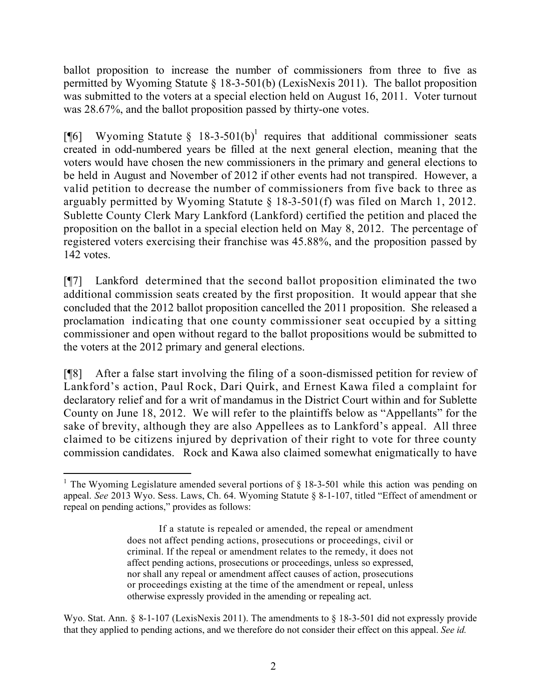ballot proposition to increase the number of commissioners from three to five as permitted by Wyoming Statute § 18-3-501(b) (LexisNexis 2011). The ballot proposition was submitted to the voters at a special election held on August 16, 2011. Voter turnout was 28.67%, and the ballot proposition passed by thirty-one votes.

[¶6] Wyoming Statute § 18-3-501(b)<sup>1</sup> requires that additional commissioner seats created in odd-numbered years be filled at the next general election, meaning that the voters would have chosen the new commissioners in the primary and general elections to be held in August and November of 2012 if other events had not transpired. However, a valid petition to decrease the number of commissioners from five back to three as arguably permitted by Wyoming Statute § 18-3-501(f) was filed on March 1, 2012. Sublette County Clerk Mary Lankford (Lankford) certified the petition and placed the proposition on the ballot in a special election held on May 8, 2012. The percentage of registered voters exercising their franchise was 45.88%, and the proposition passed by 142 votes.

[¶7] Lankford determined that the second ballot proposition eliminated the two additional commission seats created by the first proposition. It would appear that she concluded that the 2012 ballot proposition cancelled the 2011 proposition. She released a proclamation indicating that one county commissioner seat occupied by a sitting commissioner and open without regard to the ballot propositions would be submitted to the voters at the 2012 primary and general elections.

[¶8] After a false start involving the filing of a soon-dismissed petition for review of Lankford's action, Paul Rock, Dari Quirk, and Ernest Kawa filed a complaint for declaratory relief and for a writ of mandamus in the District Court within and for Sublette County on June 18, 2012. We will refer to the plaintiffs below as "Appellants" for the sake of brevity, although they are also Appellees as to Lankford's appeal. All three claimed to be citizens injured by deprivation of their right to vote for three county commission candidates. Rock and Kawa also claimed somewhat enigmatically to have

Wyo. Stat. Ann. § 8-1-107 (LexisNexis 2011). The amendments to § 18-3-501 did not expressly provide that they applied to pending actions, and we therefore do not consider their effect on this appeal. *See id.*

 <sup>1</sup> The Wyoming Legislature amended several portions of  $\S$  18-3-501 while this action was pending on appeal. *See* 2013 Wyo. Sess. Laws, Ch. 64. Wyoming Statute § 8-1-107, titled "Effect of amendment or repeal on pending actions," provides as follows:

If a statute is repealed or amended, the repeal or amendment does not affect pending actions, prosecutions or proceedings, civil or criminal. If the repeal or amendment relates to the remedy, it does not affect pending actions, prosecutions or proceedings, unless so expressed, nor shall any repeal or amendment affect causes of action, prosecutions or proceedings existing at the time of the amendment or repeal, unless otherwise expressly provided in the amending or repealing act.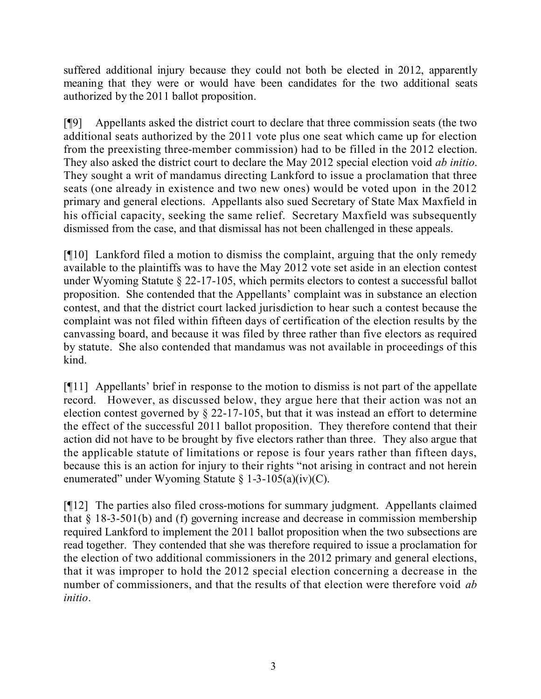suffered additional injury because they could not both be elected in 2012, apparently meaning that they were or would have been candidates for the two additional seats authorized by the 2011 ballot proposition.

[¶9] Appellants asked the district court to declare that three commission seats (the two additional seats authorized by the 2011 vote plus one seat which came up for election from the preexisting three-member commission) had to be filled in the 2012 election. They also asked the district court to declare the May 2012 special election void *ab initio*. They sought a writ of mandamus directing Lankford to issue a proclamation that three seats (one already in existence and two new ones) would be voted upon in the 2012 primary and general elections. Appellants also sued Secretary of State Max Maxfield in his official capacity, seeking the same relief. Secretary Maxfield was subsequently dismissed from the case, and that dismissal has not been challenged in these appeals.

[¶10] Lankford filed a motion to dismiss the complaint, arguing that the only remedy available to the plaintiffs was to have the May 2012 vote set aside in an election contest under Wyoming Statute § 22-17-105, which permits electors to contest a successful ballot proposition. She contended that the Appellants' complaint was in substance an election contest, and that the district court lacked jurisdiction to hear such a contest because the complaint was not filed within fifteen days of certification of the election results by the canvassing board, and because it was filed by three rather than five electors as required by statute. She also contended that mandamus was not available in proceedings of this kind.

[¶11] Appellants' brief in response to the motion to dismiss is not part of the appellate record. However, as discussed below, they argue here that their action was not an election contest governed by § 22-17-105, but that it was instead an effort to determine the effect of the successful 2011 ballot proposition. They therefore contend that their action did not have to be brought by five electors rather than three. They also argue that the applicable statute of limitations or repose is four years rather than fifteen days, because this is an action for injury to their rights "not arising in contract and not herein enumerated" under Wyoming Statute § 1-3-105(a)(iv)(C).

[¶12] The parties also filed cross-motions for summary judgment. Appellants claimed that § 18-3-501(b) and (f) governing increase and decrease in commission membership required Lankford to implement the 2011 ballot proposition when the two subsections are read together. They contended that she was therefore required to issue a proclamation for the election of two additional commissioners in the 2012 primary and general elections, that it was improper to hold the 2012 special election concerning a decrease in the number of commissioners, and that the results of that election were therefore void *ab initio*.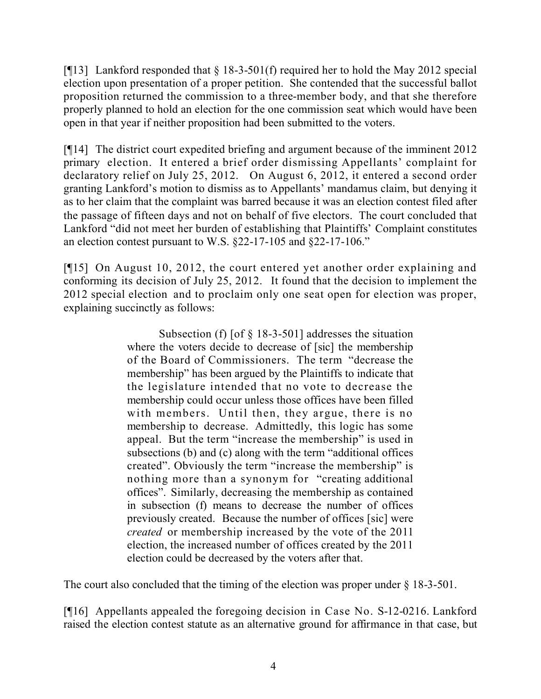[¶13] Lankford responded that § 18-3-501(f) required her to hold the May 2012 special election upon presentation of a proper petition. She contended that the successful ballot proposition returned the commission to a three-member body, and that she therefore properly planned to hold an election for the one commission seat which would have been open in that year if neither proposition had been submitted to the voters.

[¶14] The district court expedited briefing and argument because of the imminent 2012 primary election. It entered a brief order dismissing Appellants' complaint for declaratory relief on July 25, 2012. On August 6, 2012, it entered a second order granting Lankford's motion to dismiss as to Appellants' mandamus claim, but denying it as to her claim that the complaint was barred because it was an election contest filed after the passage of fifteen days and not on behalf of five electors. The court concluded that Lankford "did not meet her burden of establishing that Plaintiffs' Complaint constitutes an election contest pursuant to W.S. §22-17-105 and §22-17-106."

[¶15] On August 10, 2012, the court entered yet another order explaining and conforming its decision of July 25, 2012. It found that the decision to implement the 2012 special election and to proclaim only one seat open for election was proper, explaining succinctly as follows:

> Subsection (f) [of § 18-3-501] addresses the situation where the voters decide to decrease of [sic] the membership of the Board of Commissioners. The term "decrease the membership" has been argued by the Plaintiffs to indicate that the legislature intended that no vote to decrease the membership could occur unless those offices have been filled with members. Until then, they argue, there is no membership to decrease. Admittedly, this logic has some appeal. But the term "increase the membership" is used in subsections (b) and (c) along with the term "additional offices created". Obviously the term "increase the membership" is nothing more than a synonym for "creating additional offices". Similarly, decreasing the membership as contained in subsection (f) means to decrease the number of offices previously created. Because the number of offices [sic] were *created* or membership increased by the vote of the 2011 election, the increased number of offices created by the 2011 election could be decreased by the voters after that.

The court also concluded that the timing of the election was proper under § 18-3-501.

[¶16] Appellants appealed the foregoing decision in Case No. S-12-0216. Lankford raised the election contest statute as an alternative ground for affirmance in that case, but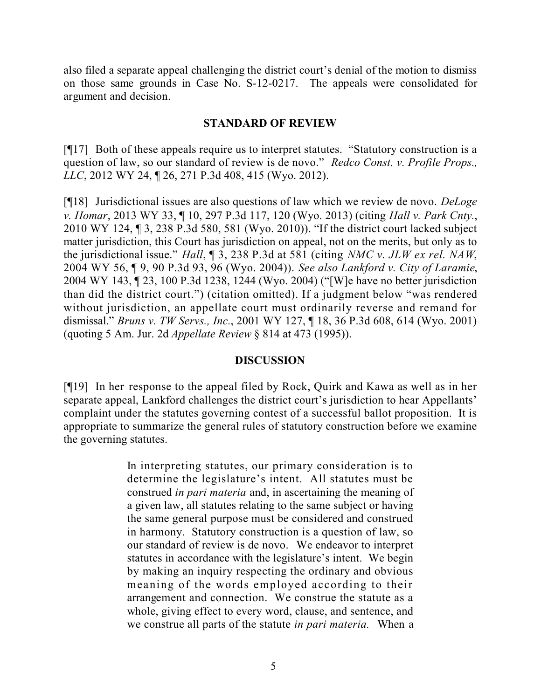also filed a separate appeal challenging the district court's denial of the motion to dismiss on those same grounds in Case No. S-12-0217. The appeals were consolidated for argument and decision.

#### **STANDARD OF REVIEW**

[¶17] Both of these appeals require us to interpret statutes. "Statutory construction is a question of law, so our standard of review is de novo." *Redco Const. v. Profile Props., LLC*, 2012 WY 24, ¶ 26, 271 P.3d 408, 415 (Wyo. 2012).

[¶18] Jurisdictional issues are also questions of law which we review de novo. *DeLoge v. Homar*, 2013 WY 33, ¶ 10, 297 P.3d 117, 120 (Wyo. 2013) (citing *Hall v. Park Cnty.*, 2010 WY 124, ¶ 3, 238 P.3d 580, 581 (Wyo. 2010)). "If the district court lacked subject matter jurisdiction, this Court has jurisdiction on appeal, not on the merits, but only as to the jurisdictional issue." *Hall*, ¶ 3, 238 P.3d at 581 (citing *NMC v. JLW ex rel. NAW*, 2004 WY 56, ¶ 9, 90 P.3d 93, 96 (Wyo. 2004)). *See also Lankford v. City of Laramie*, 2004 WY 143, ¶ 23, 100 P.3d 1238, 1244 (Wyo. 2004) ("[W]e have no better jurisdiction than did the district court.") (citation omitted). If a judgment below "was rendered without jurisdiction, an appellate court must ordinarily reverse and remand for dismissal." *Bruns v. TW Servs., Inc.*, 2001 WY 127, ¶ 18, 36 P.3d 608, 614 (Wyo. 2001) (quoting 5 Am. Jur. 2d *Appellate Review* § 814 at 473 (1995)).

### **DISCUSSION**

[¶19] In her response to the appeal filed by Rock, Quirk and Kawa as well as in her separate appeal, Lankford challenges the district court's jurisdiction to hear Appellants' complaint under the statutes governing contest of a successful ballot proposition. It is appropriate to summarize the general rules of statutory construction before we examine the governing statutes.

> In interpreting statutes, our primary consideration is to determine the legislature's intent. All statutes must be construed *in pari materia* and, in ascertaining the meaning of a given law, all statutes relating to the same subject or having the same general purpose must be considered and construed in harmony. Statutory construction is a question of law, so our standard of review is de novo. We endeavor to interpret statutes in accordance with the legislature's intent. We begin by making an inquiry respecting the ordinary and obvious meaning of the words employed according to their arrangement and connection. We construe the statute as a whole, giving effect to every word, clause, and sentence, and we construe all parts of the statute *in pari materia.* When a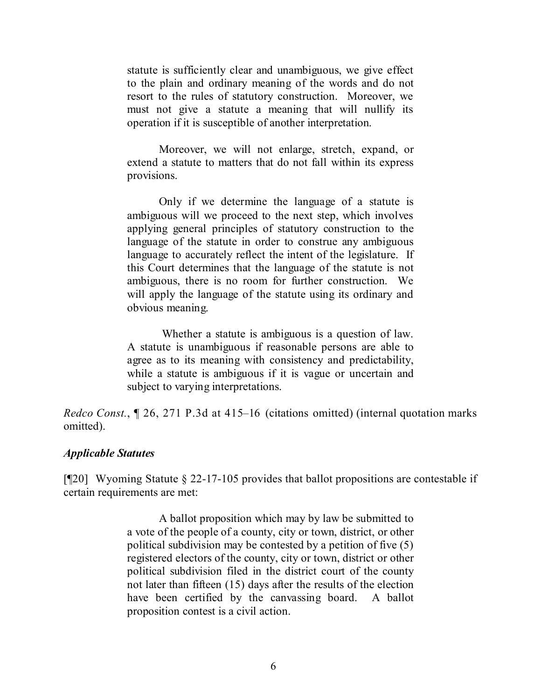statute is sufficiently clear and unambiguous, we give effect to the plain and ordinary meaning of the words and do not resort to the rules of statutory construction. Moreover, we must not give a statute a meaning that will nullify its operation if it is susceptible of another interpretation.

Moreover, we will not enlarge, stretch, expand, or extend a statute to matters that do not fall within its express provisions.

Only if we determine the language of a statute is ambiguous will we proceed to the next step, which involves applying general principles of statutory construction to the language of the statute in order to construe any ambiguous language to accurately reflect the intent of the legislature. If this Court determines that the language of the statute is not ambiguous, there is no room for further construction. We will apply the language of the statute using its ordinary and obvious meaning.

Whether a statute is ambiguous is a question of law. A statute is unambiguous if reasonable persons are able to agree as to its meaning with consistency and predictability, while a statute is ambiguous if it is vague or uncertain and subject to varying interpretations.

*Redco Const.*, ¶ 26, 271 P.3d at 415–16 (citations omitted) (internal quotation marks omitted).

#### *Applicable Statutes*

[¶20] Wyoming Statute § 22-17-105 provides that ballot propositions are contestable if certain requirements are met:

> A ballot proposition which may by law be submitted to a vote of the people of a county, city or town, district, or other political subdivision may be contested by a petition of five (5) registered electors of the county, city or town, district or other political subdivision filed in the district court of the county not later than fifteen (15) days after the results of the election have been certified by the canvassing board. A ballot proposition contest is a civil action.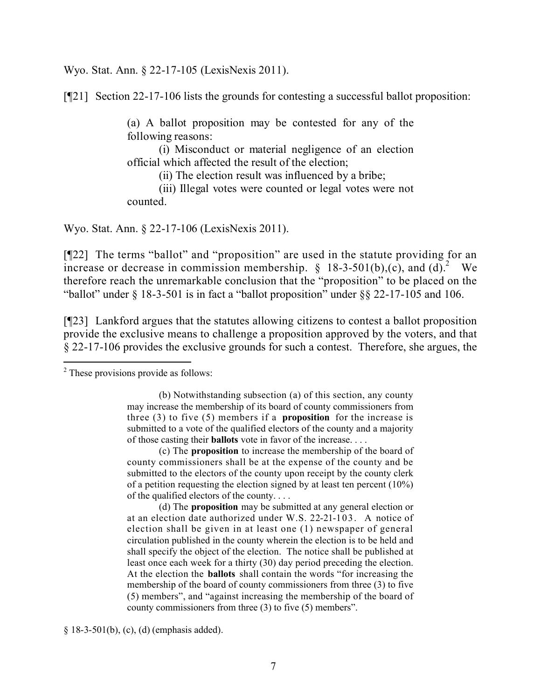Wyo. Stat. Ann. § 22-17-105 (LexisNexis 2011).

[¶21] Section 22-17-106 lists the grounds for contesting a successful ballot proposition:

(a) A ballot proposition may be contested for any of the following reasons:

(i) Misconduct or material negligence of an election official which affected the result of the election;

(ii) The election result was influenced by a bribe;

(iii) Illegal votes were counted or legal votes were not counted.

Wyo. Stat. Ann. § 22-17-106 (LexisNexis 2011).

[¶22] The terms "ballot" and "proposition" are used in the statute providing for an increase or decrease in commission membership.  $\S$  18-3-501(b),(c), and (d).<sup>2</sup> We therefore reach the unremarkable conclusion that the "proposition" to be placed on the "ballot" under  $\S$  18-3-501 is in fact a "ballot proposition" under  $\S$  $\S$  22-17-105 and 106.

[¶23] Lankford argues that the statutes allowing citizens to contest a ballot proposition provide the exclusive means to challenge a proposition approved by the voters, and that § 22-17-106 provides the exclusive grounds for such a contest. Therefore, she argues, the

 $\overline{a}$ 

(c) The **proposition** to increase the membership of the board of county commissioners shall be at the expense of the county and be submitted to the electors of the county upon receipt by the county clerk of a petition requesting the election signed by at least ten percent (10%) of the qualified electors of the county. . . .

(d) The **proposition** may be submitted at any general election or at an election date authorized under W.S. 22-21-103. A notice of election shall be given in at least one (1) newspaper of general circulation published in the county wherein the election is to be held and shall specify the object of the election. The notice shall be published at least once each week for a thirty (30) day period preceding the election. At the election the **ballots** shall contain the words "for increasing the membership of the board of county commissioners from three (3) to five (5) members", and "against increasing the membership of the board of county commissioners from three (3) to five (5) members".

§ 18-3-501(b), (c), (d) (emphasis added).

<sup>&</sup>lt;sup>2</sup> These provisions provide as follows:

<sup>(</sup>b) Notwithstanding subsection (a) of this section, any county may increase the membership of its board of county commissioners from three (3) to five (5) members if a **proposition** for the increase is submitted to a vote of the qualified electors of the county and a majority of those casting their **ballots** vote in favor of the increase. . . .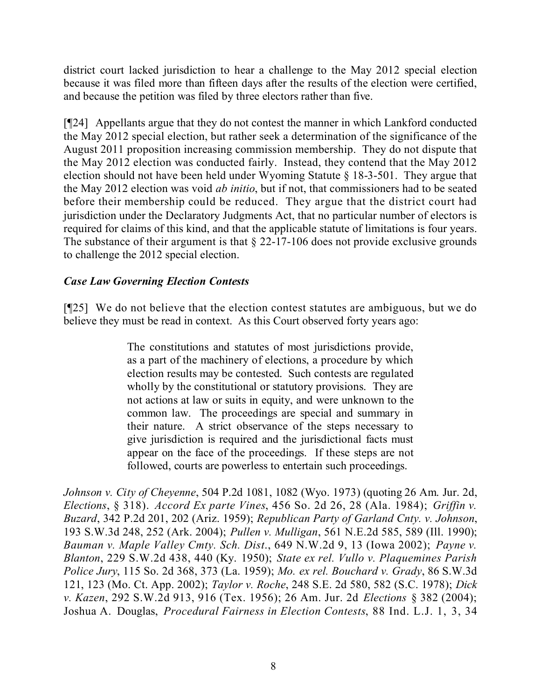district court lacked jurisdiction to hear a challenge to the May 2012 special election because it was filed more than fifteen days after the results of the election were certified, and because the petition was filed by three electors rather than five.

[¶24] Appellants argue that they do not contest the manner in which Lankford conducted the May 2012 special election, but rather seek a determination of the significance of the August 2011 proposition increasing commission membership. They do not dispute that the May 2012 election was conducted fairly. Instead, they contend that the May 2012 election should not have been held under Wyoming Statute § 18-3-501. They argue that the May 2012 election was void *ab initio*, but if not, that commissioners had to be seated before their membership could be reduced. They argue that the district court had jurisdiction under the Declaratory Judgments Act, that no particular number of electors is required for claims of this kind, and that the applicable statute of limitations is four years. The substance of their argument is that  $\S$  22-17-106 does not provide exclusive grounds to challenge the 2012 special election.

### *Case Law Governing Election Contests*

[¶25] We do not believe that the election contest statutes are ambiguous, but we do believe they must be read in context. As this Court observed forty years ago:

> The constitutions and statutes of most jurisdictions provide, as a part of the machinery of elections, a procedure by which election results may be contested. Such contests are regulated wholly by the constitutional or statutory provisions. They are not actions at law or suits in equity, and were unknown to the common law. The proceedings are special and summary in their nature. A strict observance of the steps necessary to give jurisdiction is required and the jurisdictional facts must appear on the face of the proceedings. If these steps are not followed, courts are powerless to entertain such proceedings.

*Johnson v. City of Cheyenne*, 504 P.2d 1081, 1082 (Wyo. 1973) (quoting 26 Am. Jur. 2d, *Elections*, § 318). *Accord Ex parte Vines*, 456 So. 2d 26, 28 (Ala. 1984); *Griffin v. Buzard*, 342 P.2d 201, 202 (Ariz. 1959); *Republican Party of Garland Cnty. v. Johnson*, 193 S.W.3d 248, 252 (Ark. 2004); *Pullen v. Mulligan*, 561 N.E.2d 585, 589 (Ill. 1990); *Bauman v. Maple Valley Cmty. Sch. Dist*., 649 N.W.2d 9, 13 (Iowa 2002); *Payne v. Blanton*, 229 S.W.2d 438, 440 (Ky. 1950); *State ex rel. Vullo v. Plaquemines Parish Police Jury*, 115 So. 2d 368, 373 (La. 1959); *Mo. ex rel. Bouchard v. Grady*, 86 S.W.3d 121, 123 (Mo. Ct. App. 2002); *Taylor v. Roche*, 248 S.E. 2d 580, 582 (S.C. 1978); *Dick v. Kazen*, 292 S.W.2d 913, 916 (Tex. 1956); 26 Am. Jur. 2d *Elections* § 382 (2004); Joshua A. Douglas, *Procedural Fairness in Election Contests*, 88 Ind. L.J. 1, 3, 34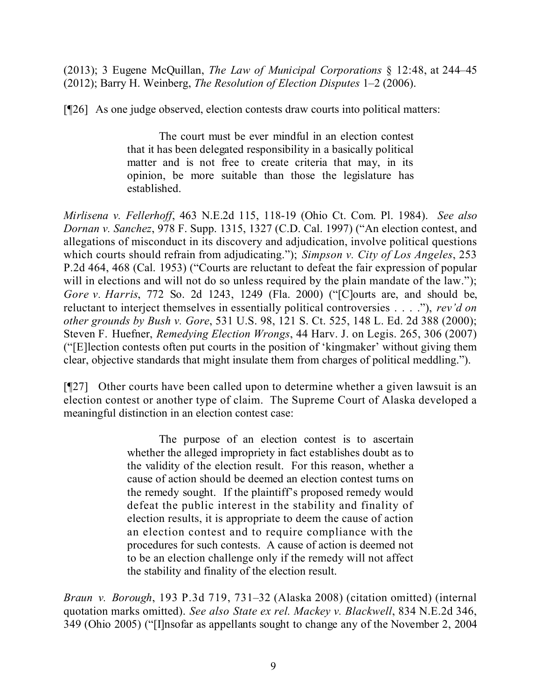(2013); 3 Eugene McQuillan, *The Law of Municipal Corporations* § 12:48, at 244–45 (2012); Barry H. Weinberg, *The Resolution of Election Disputes* 1–2 (2006).

[¶26] As one judge observed, election contests draw courts into political matters:

The court must be ever mindful in an election contest that it has been delegated responsibility in a basically political matter and is not free to create criteria that may, in its opinion, be more suitable than those the legislature has established.

*Mirlisena v. Fellerhoff*, 463 N.E.2d 115, 118-19 (Ohio Ct. Com. Pl. 1984). *See also Dornan v. Sanchez*, 978 F. Supp. 1315, 1327 (C.D. Cal. 1997) ("An election contest, and allegations of misconduct in its discovery and adjudication, involve political questions which courts should refrain from adjudicating."); *Simpson v. City of Los Angeles*, 253 P.2d 464, 468 (Cal. 1953) ("Courts are reluctant to defeat the fair expression of popular will in elections and will not do so unless required by the plain mandate of the law."); *Gore v. Harris*, 772 So. 2d 1243, 1249 (Fla. 2000) ("[C]ourts are, and should be, reluctant to interject themselves in essentially political controversies . . . ."), *rev'd on other grounds by Bush v. Gore*, 531 U.S. 98, 121 S. Ct. 525, 148 L. Ed. 2d 388 (2000); Steven F. Huefner, *Remedying Election Wrongs*, 44 Harv. J. on Legis. 265, 306 (2007) ("[E]lection contests often put courts in the position of 'kingmaker' without giving them clear, objective standards that might insulate them from charges of political meddling.").

[¶27] Other courts have been called upon to determine whether a given lawsuit is an election contest or another type of claim. The Supreme Court of Alaska developed a meaningful distinction in an election contest case:

> The purpose of an election contest is to ascertain whether the alleged impropriety in fact establishes doubt as to the validity of the election result. For this reason, whether a cause of action should be deemed an election contest turns on the remedy sought. If the plaintiff's proposed remedy would defeat the public interest in the stability and finality of election results, it is appropriate to deem the cause of action an election contest and to require compliance with the procedures for such contests. A cause of action is deemed not to be an election challenge only if the remedy will not affect the stability and finality of the election result.

*Braun v. Borough*, 193 P.3d 719, 731–32 (Alaska 2008) (citation omitted) (internal quotation marks omitted). *See also State ex rel. Mackey v. Blackwell*, 834 N.E.2d 346, 349 (Ohio 2005) ("[I]nsofar as appellants sought to change any of the November 2, 2004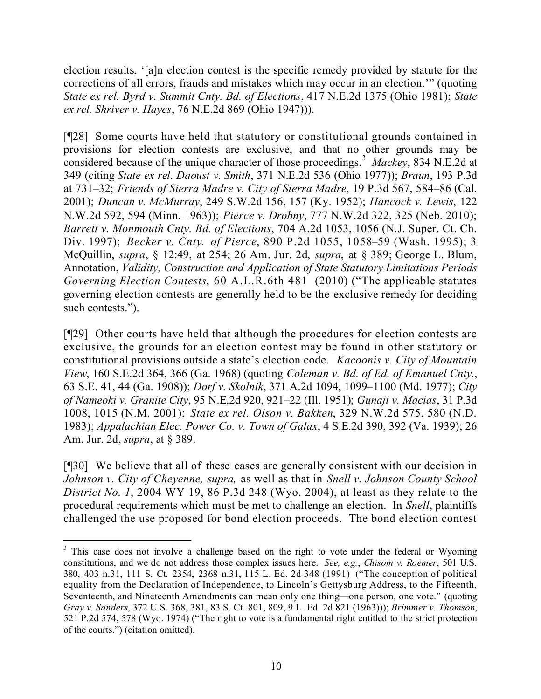election results, '[a]n election contest is the specific remedy provided by statute for the corrections of all errors, frauds and mistakes which may occur in an election.'" (quoting *State ex rel. Byrd v. Summit Cnty. Bd. of Elections*, 417 N.E.2d 1375 (Ohio 1981); *State ex rel. Shriver v. Hayes*, 76 N.E.2d 869 (Ohio 1947))).

[¶28] Some courts have held that statutory or constitutional grounds contained in provisions for election contests are exclusive, and that no other grounds may be considered because of the unique character of those proceedings.<sup>3</sup> Mackey, 834 N.E.2d at 349 (citing *State ex rel. Daoust v. Smith*, 371 N.E.2d 536 (Ohio 1977)); *Braun*, 193 P.3d at 731–32; *Friends of Sierra Madre v. City of Sierra Madre*, 19 P.3d 567, 584–86 (Cal. 2001); *Duncan v. McMurray*, 249 S.W.2d 156, 157 (Ky. 1952); *Hancock v. Lewis*, 122 N.W.2d 592, 594 (Minn. 1963)); *Pierce v. Drobny*, 777 N.W.2d 322, 325 (Neb. 2010); *Barrett v. Monmouth Cnty. Bd. of Elections*, 704 A.2d 1053, 1056 (N.J. Super. Ct. Ch. Div. 1997); *Becker v. Cnty. of Pierce*, 890 P.2d 1055, 1058–59 (Wash. 1995); 3 McQuillin, *supra*, § 12:49, at 254; 26 Am. Jur. 2d, *supra*, at § 389; George L. Blum, Annotation, *Validity, Construction and Application of State Statutory Limitations Periods Governing Election Contests*, 60 A.L.R.6th 481 (2010) ("The applicable statutes governing election contests are generally held to be the exclusive remedy for deciding such contests.").

[¶29] Other courts have held that although the procedures for election contests are exclusive, the grounds for an election contest may be found in other statutory or constitutional provisions outside a state's election code. *Kacoonis v. City of Mountain View*, 160 S.E.2d 364, 366 (Ga. 1968) (quoting *Coleman v. Bd. of Ed. of Emanuel Cnty.*, 63 S.E. 41, 44 (Ga. 1908)); *Dorf v. Skolnik*, 371 A.2d 1094, 1099–1100 (Md. 1977); *City of Nameoki v. Granite City*, 95 N.E.2d 920, 921–22 (Ill. 1951); *Gunaji v. Macias*, 31 P.3d 1008, 1015 (N.M. 2001); *State ex rel. Olson v. Bakken*, 329 N.W.2d 575, 580 (N.D. 1983); *Appalachian Elec. Power Co. v. Town of Galax*, 4 S.E.2d 390, 392 (Va. 1939); 26 Am. Jur. 2d, *supra*, at § 389.

[¶30] We believe that all of these cases are generally consistent with our decision in *Johnson v. City of Cheyenne, supra,* as well as that in *Snell v. Johnson County School District No. 1*, 2004 WY 19, 86 P.3d 248 (Wyo. 2004), at least as they relate to the procedural requirements which must be met to challenge an election. In *Snell*, plaintiffs challenged the use proposed for bond election proceeds. The bond election contest

 $\overline{a}$ 

<sup>&</sup>lt;sup>3</sup> This case does not involve a challenge based on the right to vote under the federal or Wyoming constitutions, and we do not address those complex issues here. *See, e.g.*, *Chisom v. Roemer*, 501 U.S. 380, 403 n.31, 111 S. Ct. 2354, 2368 n.31, 115 L. Ed. 2d 348 (1991) ("The conception of political equality from the Declaration of Independence, to Lincoln's Gettysburg Address, to the Fifteenth, Seventeenth, and Nineteenth Amendments can mean only one thing—one person, one vote." (quoting *Gray v. Sanders*, 372 U.S. 368, 381, 83 S. Ct. 801, 809, 9 L. Ed. 2d 821 (1963))); *Brimmer v. Thomson*, 521 P.2d 574, 578 (Wyo. 1974) ("The right to vote is a fundamental right entitled to the strict protection of the courts.") (citation omitted).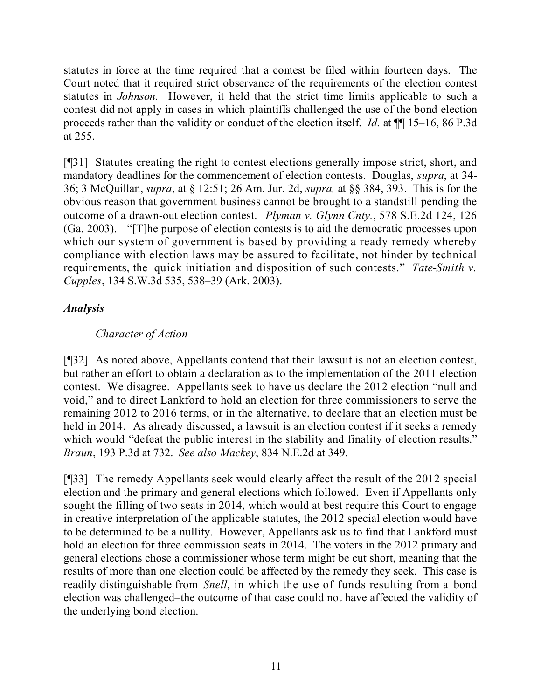statutes in force at the time required that a contest be filed within fourteen days. The Court noted that it required strict observance of the requirements of the election contest statutes in *Johnson.* However, it held that the strict time limits applicable to such a contest did not apply in cases in which plaintiffs challenged the use of the bond election proceeds rather than the validity or conduct of the election itself. *Id.* at ¶¶ 15–16, 86 P.3d at 255.

[¶31] Statutes creating the right to contest elections generally impose strict, short, and mandatory deadlines for the commencement of election contests. Douglas, *supra*, at 34- 36; 3 McQuillan, *supra*, at § 12:51; 26 Am. Jur. 2d, *supra,* at §§ 384, 393. This is for the obvious reason that government business cannot be brought to a standstill pending the outcome of a drawn-out election contest. *Plyman v. Glynn Cnty.*, 578 S.E.2d 124, 126 (Ga. 2003). "[T]he purpose of election contests is to aid the democratic processes upon which our system of government is based by providing a ready remedy whereby compliance with election laws may be assured to facilitate, not hinder by technical requirements, the quick initiation and disposition of such contests." *Tate-Smith v. Cupples*, 134 S.W.3d 535, 538–39 (Ark. 2003).

## *Analysis*

## *Character of Action*

[¶32] As noted above, Appellants contend that their lawsuit is not an election contest, but rather an effort to obtain a declaration as to the implementation of the 2011 election contest. We disagree. Appellants seek to have us declare the 2012 election "null and void," and to direct Lankford to hold an election for three commissioners to serve the remaining 2012 to 2016 terms, or in the alternative, to declare that an election must be held in 2014. As already discussed, a lawsuit is an election contest if it seeks a remedy which would "defeat the public interest in the stability and finality of election results." *Braun*, 193 P.3d at 732. *See also Mackey*, 834 N.E.2d at 349.

[¶33] The remedy Appellants seek would clearly affect the result of the 2012 special election and the primary and general elections which followed. Even if Appellants only sought the filling of two seats in 2014, which would at best require this Court to engage in creative interpretation of the applicable statutes, the 2012 special election would have to be determined to be a nullity. However, Appellants ask us to find that Lankford must hold an election for three commission seats in 2014. The voters in the 2012 primary and general elections chose a commissioner whose term might be cut short, meaning that the results of more than one election could be affected by the remedy they seek. This case is readily distinguishable from *Snell*, in which the use of funds resulting from a bond election was challenged–the outcome of that case could not have affected the validity of the underlying bond election.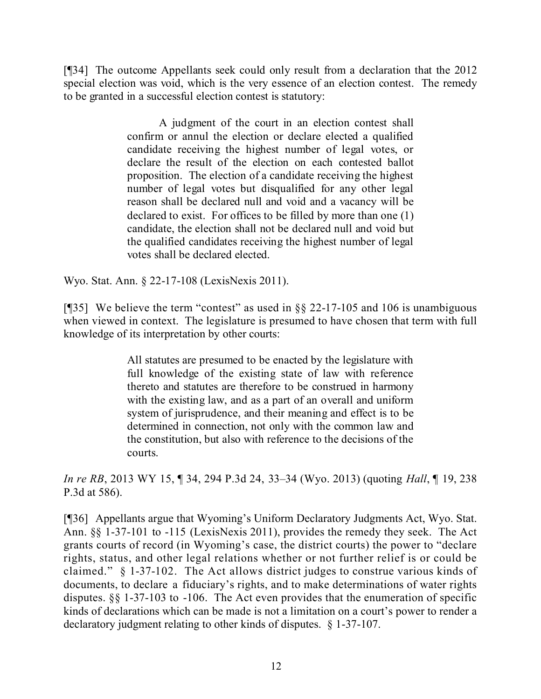[¶34] The outcome Appellants seek could only result from a declaration that the 2012 special election was void, which is the very essence of an election contest. The remedy to be granted in a successful election contest is statutory:

> A judgment of the court in an election contest shall confirm or annul the election or declare elected a qualified candidate receiving the highest number of legal votes, or declare the result of the election on each contested ballot proposition. The election of a candidate receiving the highest number of legal votes but disqualified for any other legal reason shall be declared null and void and a vacancy will be declared to exist. For offices to be filled by more than one (1) candidate, the election shall not be declared null and void but the qualified candidates receiving the highest number of legal votes shall be declared elected.

Wyo. Stat. Ann. § 22-17-108 (LexisNexis 2011).

[¶35] We believe the term "contest" as used in §§ 22-17-105 and 106 is unambiguous when viewed in context. The legislature is presumed to have chosen that term with full knowledge of its interpretation by other courts:

> All statutes are presumed to be enacted by the legislature with full knowledge of the existing state of law with reference thereto and statutes are therefore to be construed in harmony with the existing law, and as a part of an overall and uniform system of jurisprudence, and their meaning and effect is to be determined in connection, not only with the common law and the constitution, but also with reference to the decisions of the courts.

*In re RB*, 2013 WY 15, ¶ 34, 294 P.3d 24, 33–34 (Wyo. 2013) (quoting *Hall*, ¶ 19, 238 P.3d at 586).

[¶36] Appellants argue that Wyoming's Uniform Declaratory Judgments Act, Wyo. Stat. Ann. §§ 1-37-101 to -115 (LexisNexis 2011), provides the remedy they seek. The Act grants courts of record (in Wyoming's case, the district courts) the power to "declare rights, status, and other legal relations whether or not further relief is or could be claimed." § 1-37-102. The Act allows district judges to construe various kinds of documents, to declare a fiduciary's rights, and to make determinations of water rights disputes. §§ 1-37-103 to -106. The Act even provides that the enumeration of specific kinds of declarations which can be made is not a limitation on a court's power to render a declaratory judgment relating to other kinds of disputes. § 1-37-107.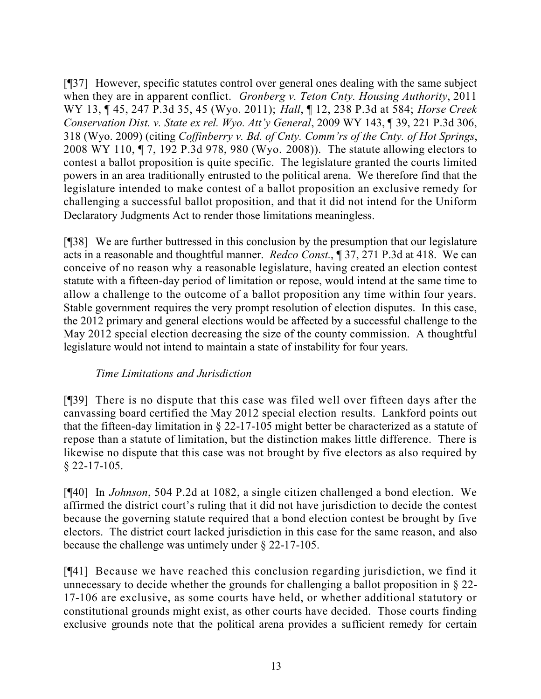[¶37] However, specific statutes control over general ones dealing with the same subject when they are in apparent conflict. *Gronberg v. Teton Cnty. Housing Authority*, 2011 WY 13, ¶ 45, 247 P.3d 35, 45 (Wyo. 2011); *Hall*, ¶ 12, 238 P.3d at 584; *Horse Creek Conservation Dist. v. State ex rel. Wyo. Att'y General*, 2009 WY 143, ¶ 39, 221 P.3d 306, 318 (Wyo. 2009) (citing *Coffinberry v. Bd. of Cnty. Comm'rs of the Cnty. of Hot Springs*, 2008 WY 110, ¶ 7, 192 P.3d 978, 980 (Wyo. 2008)). The statute allowing electors to contest a ballot proposition is quite specific. The legislature granted the courts limited powers in an area traditionally entrusted to the political arena. We therefore find that the legislature intended to make contest of a ballot proposition an exclusive remedy for challenging a successful ballot proposition, and that it did not intend for the Uniform Declaratory Judgments Act to render those limitations meaningless.

[¶38] We are further buttressed in this conclusion by the presumption that our legislature acts in a reasonable and thoughtful manner. *Redco Const.*, ¶ 37, 271 P.3d at 418. We can conceive of no reason why a reasonable legislature, having created an election contest statute with a fifteen-day period of limitation or repose, would intend at the same time to allow a challenge to the outcome of a ballot proposition any time within four years. Stable government requires the very prompt resolution of election disputes. In this case, the 2012 primary and general elections would be affected by a successful challenge to the May 2012 special election decreasing the size of the county commission. A thoughtful legislature would not intend to maintain a state of instability for four years.

## *Time Limitations and Jurisdiction*

[¶39] There is no dispute that this case was filed well over fifteen days after the canvassing board certified the May 2012 special election results. Lankford points out that the fifteen-day limitation in § 22-17-105 might better be characterized as a statute of repose than a statute of limitation, but the distinction makes little difference. There is likewise no dispute that this case was not brought by five electors as also required by  $§$  22-17-105.

[¶40] In *Johnson*, 504 P.2d at 1082, a single citizen challenged a bond election. We affirmed the district court's ruling that it did not have jurisdiction to decide the contest because the governing statute required that a bond election contest be brought by five electors. The district court lacked jurisdiction in this case for the same reason, and also because the challenge was untimely under § 22-17-105.

[¶41] Because we have reached this conclusion regarding jurisdiction, we find it unnecessary to decide whether the grounds for challenging a ballot proposition in § 22- 17-106 are exclusive, as some courts have held, or whether additional statutory or constitutional grounds might exist, as other courts have decided. Those courts finding exclusive grounds note that the political arena provides a sufficient remedy for certain